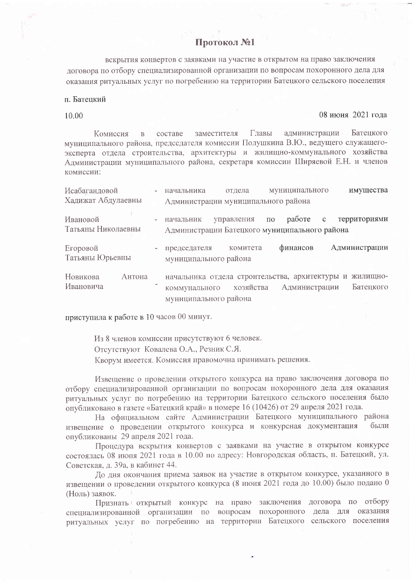## Протокол №1

вскрытия конвертов с заявками на участие в открытом на право заключения договора по отбору специализированной организации по вопросам похоронного дела для оказания ритуальных услуг по погребению на территории Батецкого сельского поселения

п. Батенкий

10.00

08 июня 2021 гола

администрации Главы Батецкого Комиссия заместителя  $\overline{B}$ составе муниципального района, председателя комиссии Полушкина В.Ю., ведущего служащегоэксперта отдела строительства, архитектуры и жилищно-коммунального хозяйства Администрации муниципального района, секретаря комиссии Ширяевой Е.Н. и членов комиссии:

| Исабагандовой                  |        | начальника                             | муниципального<br>отдела                                    |         | имущества             |                       |
|--------------------------------|--------|----------------------------------------|-------------------------------------------------------------|---------|-----------------------|-----------------------|
| Хадижат Абдулаевны             |        | Администрации муниципального района    |                                                             |         |                       |                       |
| Ивановой<br>Татьяны Николаевны |        | начальник                              | управления<br>Администрации Батецкого муниципального района | $\Pi$ O | работе<br>$\mathbf c$ | территориями          |
| Егоровой<br>Татьяны Юрьевны    |        | председателя<br>муниципального района  | комитета                                                    |         | финансов              | Администрации         |
| Новикова<br>Ивановича          | Антона | коммунального<br>муниципального района | начальника отдела строительства, архитектуры и<br>хозяйства |         | Администрации         | ЖИЛИЩНО-<br>Батецкого |

приступила к работе в 10 часов 00 минут.

Из 8 членов комиссии присутствуют 6 человек. Отсутствуют Ковалева О.А., Резник С.Я. Кворум имеется. Комиссия правомочна принимать решения.

Извещение о проведении открытого конкурса на право заключения договора по отбору специализированной организации по вопросам похоронного дела для оказания ритуальных услуг по погребению на территории Батецкого сельского поселения было опубликовано в газете «Батецкий край» в номере 16 (10426) от 29 апреля 2021 года.

На официальном сайте Администрации Батецкого муниципального района извещение о проведении открытого конкурса и конкурсная документация были опубликованы 29 апреля 2021 года.

Процедура вскрытия конвертов с заявками на участие в открытом конкурсе состоялась 08 июня 2021 года в 10.00 по адресу: Новгородская область, п. Батецкий, ул. Советская, д. 39а, в кабинет 44.

Ло дня окончания приема заявок на участие в открытом конкурсе, указанного в извещении о проведении открытого конкурса (8 июня 2021 года до 10.00) было подано 0 (Ноль) заявок.

Признать открытый конкурс на право заключения договора по отбору специализированной организации по вопросам похоронного дела для оказания ритуальных услуг по погребению на территории Батецкого сельского поселения